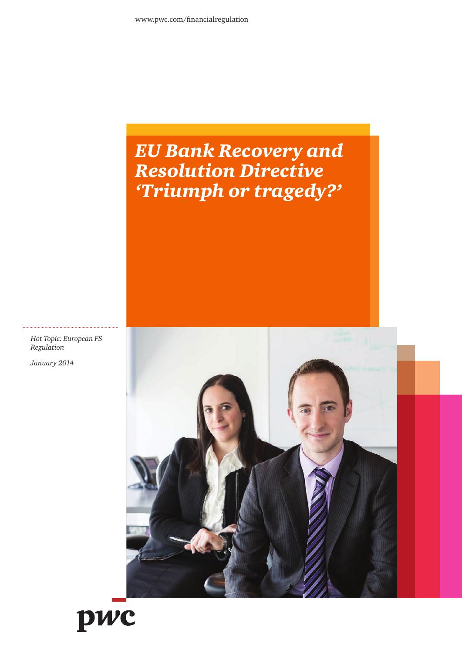# *EU Bank Recovery and Resolution Directive 'Triumph or tragedy?'*

*Hot Topic: European FS Regulation*

*January 2014*



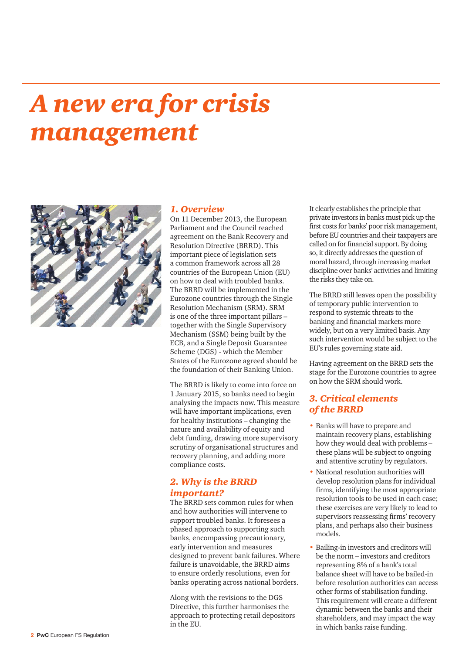# *A new era for crisis management*



#### *1. Overview*

On 11 December 2013, the European Parliament and the Council reached agreement on the Bank Recovery and Resolution Directive (BRRD). This important piece of legislation sets a common framework across all 28 countries of the European Union (EU) on how to deal with troubled banks. The BRRD will be implemented in the Eurozone countries through the Single Resolution Mechanism (SRM). SRM is one of the three important pillars – together with the Single Supervisory Mechanism (SSM) being built by the ECB, and a Single Deposit Guarantee Scheme (DGS) - which the Member States of the Eurozone agreed should be the foundation of their Banking Union.

The BRRD is likely to come into force on 1 January 2015, so banks need to begin analysing the impacts now. This measure will have important implications, even for healthy institutions – changing the nature and availability of equity and debt funding, drawing more supervisory scrutiny of organisational structures and recovery planning, and adding more compliance costs.

# *2. Why is the BRRD important?*

The BRRD sets common rules for when and how authorities will intervene to support troubled banks. It foresees a phased approach to supporting such banks, encompassing precautionary, early intervention and measures designed to prevent bank failures. Where failure is unavoidable, the BRRD aims to ensure orderly resolutions, even for banks operating across national borders.

Along with the revisions to the DGS Directive, this further harmonises the approach to protecting retail depositors in the EU.

It clearly establishes the principle that private investors in banks must pick up the first costs for banks' poor risk management, before EU countries and their taxpayers are called on for financial support. By doing so, it directly addresses the question of moral hazard, through increasing market discipline over banks' activities and limiting the risks they take on.

The BRRD still leaves open the possibility of temporary public intervention to respond to systemic threats to the banking and financial markets more widely, but on a very limited basis. Any such intervention would be subject to the EU's rules governing state aid.

Having agreement on the BRRD sets the stage for the Eurozone countries to agree on how the SRM should work.

# *3. Critical elements of the BRRD*

- Banks will have to prepare and maintain recovery plans, establishing how they would deal with problems – these plans will be subject to ongoing and attentive scrutiny by regulators.
- National resolution authorities will develop resolution plans for individual firms, identifying the most appropriate resolution tools to be used in each case; these exercises are very likely to lead to supervisors reassessing firms' recovery plans, and perhaps also their business models.
- Bailing-in investors and creditors will be the norm – investors and creditors representing 8% of a bank's total balance sheet will have to be bailed-in before resolution authorities can access other forms of stabilisation funding. This requirement will create a different dynamic between the banks and their shareholders, and may impact the way in which banks raise funding.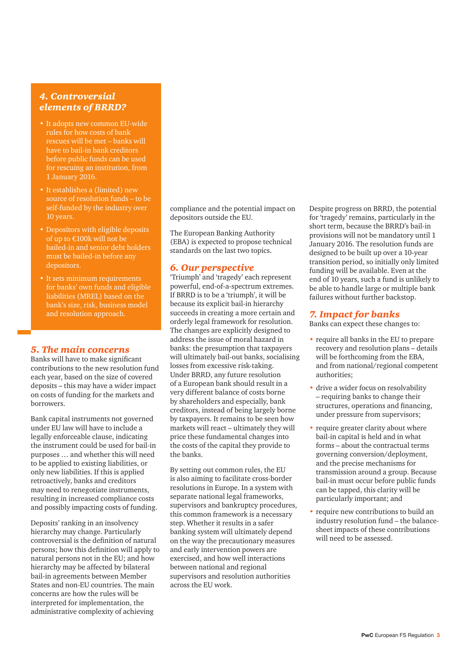# *4. Controversial elements of BRRD?*

- It adopts new common EU-wide rules for how costs of bank rescues will be met – banks will have to bail-in bank creditors before public funds can be used for rescuing an institution, from 1 January 2016.
- It establishes a (limited) new source of resolution funds – to be self-funded by the industry over 10 years.
- Depositors with eligible deposits of up to €100k will not be bailed-in and senior debt holders must be bailed-in before any depositors.
- It sets minimum requirements for banks' own funds and eligible liabilities (MREL) based on the bank's size, risk, business model and resolution approach.

# *5. The main concerns*

Banks will have to make significant contributions to the new resolution fund each year, based on the size of covered deposits – this may have a wider impact on costs of funding for the markets and borrowers.

Bank capital instruments not governed under EU law will have to include a legally enforceable clause, indicating the instrument could be used for bail-in purposes … and whether this will need to be applied to existing liabilities, or only new liabilities. If this is applied retroactively, banks and creditors may need to renegotiate instruments, resulting in increased compliance costs and possibly impacting costs of funding.

Deposits' ranking in an insolvency hierarchy may change. Particularly controversial is the definition of natural persons; how this definition will apply to natural persons not in the EU; and how hierarchy may be affected by bilateral bail-in agreements between Member States and non-EU countries. The main concerns are how the rules will be interpreted for implementation, the administrative complexity of achieving

compliance and the potential impact on depositors outside the EU.

The European Banking Authority (EBA) is expected to propose technical standards on the last two topics.

### *6. Our perspective*

'Triumph' and 'tragedy' each represent powerful, end-of-a-spectrum extremes. If BRRD is to be a 'triumph', it will be because its explicit bail-in hierarchy succeeds in creating a more certain and orderly legal framework for resolution. The changes are explicitly designed to address the issue of moral hazard in banks: the presumption that taxpayers will ultimately bail-out banks, socialising losses from excessive risk-taking. Under BRRD, any future resolution of a European bank should result in a very different balance of costs borne by shareholders and especially, bank creditors, instead of being largely borne by taxpayers. It remains to be seen how markets will react – ultimately they will price these fundamental changes into the costs of the capital they provide to the banks.

By setting out common rules, the EU is also aiming to facilitate cross-border resolutions in Europe. In a system with separate national legal frameworks, supervisors and bankruptcy procedures, this common framework is a necessary step. Whether it results in a safer banking system will ultimately depend on the way the precautionary measures and early intervention powers are exercised, and how well interactions between national and regional supervisors and resolution authorities across the EU work.

Despite progress on BRRD, the potential for 'tragedy' remains, particularly in the short term, because the BRRD's bail-in provisions will not be mandatory until 1 January 2016. The resolution funds are designed to be built up over a 10-year transition period, so initially only limited funding will be available. Even at the end of 10 years, such a fund is unlikely to be able to handle large or multiple bank failures without further backstop.

### *7. Impact for banks*

Banks can expect these changes to:

- require all banks in the EU to prepare recovery and resolution plans – details will be forthcoming from the EBA, and from national/regional competent authorities;
- drive a wider focus on resolvability – requiring banks to change their structures, operations and financing, under pressure from supervisors;
- require greater clarity about where bail-in capital is held and in what forms – about the contractual terms governing conversion/deployment, and the precise mechanisms for transmission around a group. Because bail-in must occur before public funds can be tapped, this clarity will be particularly important; and
- require new contributions to build an industry resolution fund – the balancesheet impacts of these contributions will need to be assessed.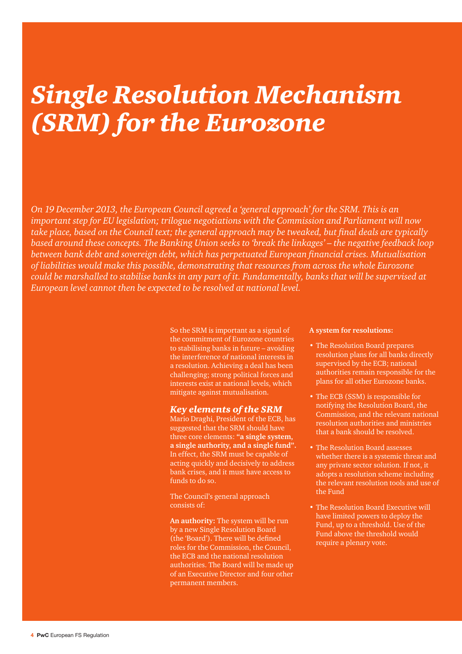# *Single Resolution Mechanism (SRM) for the Eurozone*

*On 19 December 2013, the European Council agreed a 'general approach' for the SRM. This is an important step for EU legislation; trilogue negotiations with the Commission and Parliament will now take place, based on the Council text; the general approach may be tweaked, but final deals are typically based around these concepts. The Banking Union seeks to 'break the linkages' – the negative feedback loop between bank debt and sovereign debt, which has perpetuated European financial crises. Mutualisation of liabilities would make this possible, demonstrating that resources from across the whole Eurozone could be marshalled to stabilise banks in any part of it. Fundamentally, banks that will be supervised at European level cannot then be expected to be resolved at national level.*

> So the SRM is important as a signal of the commitment of Eurozone countries to stabilising banks in future – avoiding the interference of national interests in a resolution. Achieving a deal has been challenging; strong political forces and interests exist at national levels, which mitigate against mutualisation.

#### *Key elements of the SRM*

Mario Draghi, President of the ECB, has suggested that the SRM should have three core elements: **"a single system, a single authority, and a single fund".** In effect, the SRM must be capable of acting quickly and decisively to address bank crises, and it must have access to funds to do so.

The Council's general approach consists of:

**An authority:** The system will be run by a new Single Resolution Board (the 'Board'). There will be defined roles for the Commission, the Council, the ECB and the national resolution authorities. The Board will be made up of an Executive Director and four other permanent members.

#### **A system for resolutions:**

- The Resolution Board prepares resolution plans for all banks directly supervised by the ECB; national authorities remain responsible for the plans for all other Eurozone banks.
- The ECB (SSM) is responsible for notifying the Resolution Board, the Commission, and the relevant national resolution authorities and ministries that a bank should be resolved.
- The Resolution Board assesses whether there is a systemic threat and any private sector solution. If not, it adopts a resolution scheme including the relevant resolution tools and use of the Fund
- The Resolution Board Executive will have limited powers to deploy the Fund, up to a threshold. Use of the Fund above the threshold would require a plenary vote.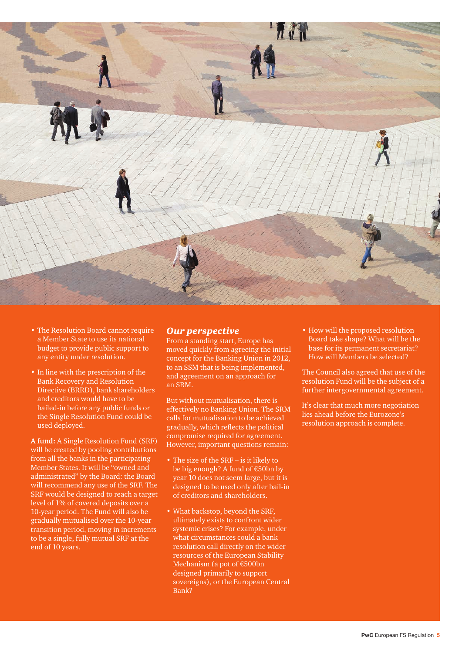

- The Resolution Board cannot require a Member State to use its national budget to provide public support to any entity under resolution.
- In line with the prescription of the Bank Recovery and Resolution Directive (BRRD), bank shareholders and creditors would have to be bailed-in before any public funds or the Single Resolution Fund could be used deployed.

**A fund:** A Single Resolution Fund (SRF) will be created by pooling contributions from all the banks in the participating Member States. It will be "owned and administrated" by the Board: the Board will recommend any use of the SRF. The SRF would be designed to reach a target level of 1% of covered deposits over a 10-year period. The Fund will also be gradually mutualised over the 10-year transition period, moving in increments to be a single, fully mutual SRF at the end of 10 years.

### *Our perspective*

From a standing start, Europe has moved quickly from agreeing the initial concept for the Banking Union in 2012, to an SSM that is being implemented, and agreement on an approach for an SRM.

But without mutualisation, there is effectively no Banking Union. The SRM calls for mutualisation to be achieved gradually, which reflects the political compromise required for agreement. However, important questions remain:

- The size of the SRF is it likely to be big enough? A fund of €50bn by year 10 does not seem large, but it is designed to be used only after bail-in of creditors and shareholders.
- What backstop, beyond the SRF, ultimately exists to confront wider systemic crises? For example, under what circumstances could a bank resolution call directly on the wider resources of the European Stability Mechanism (a pot of €500bn designed primarily to support sovereigns), or the European Central Bank?

• How will the proposed resolution Board take shape? What will be the base for its permanent secretariat? How will Members be selected?

The Council also agreed that use of the resolution Fund will be the subject of a further intergovernmental agreement.

It's clear that much more negotiation lies ahead before the Eurozone's resolution approach is complete.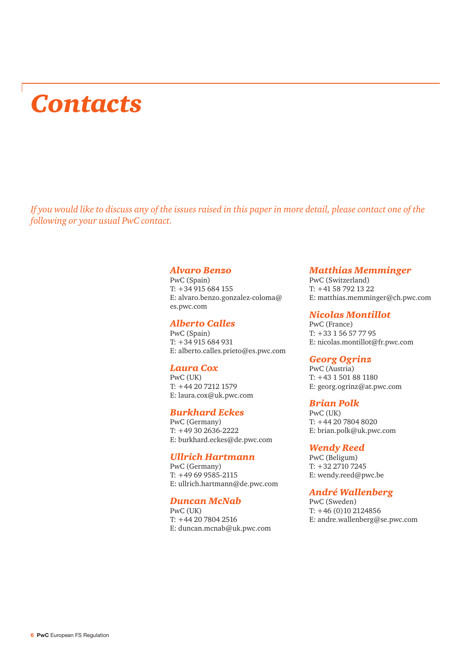# *Contacts*

*If you would like to discuss any of the issues raised in this paper in more detail, please contact one of the following or your usual PwC contact.*

### *Alvaro Benzo*

PwC (Spain) T: +34 915 684 155 E: alvaro.benzo.gonzalez-coloma@ es.pwc.com

#### *Alberto Calles*

PwC (Spain) T: +34 915 684 931 E: alberto.calles.prieto@es.pwc.com

#### *Laura Cox*

PwC (UK) T: +44 20 7212 1579 E: laura.cox@uk.pwc.com

#### *Burkhard Eckes*

PwC (Germany) T: +49 30 2636-2222 E: burkhard.eckes@de.pwc.com

### *Ullrich Hartmann*

PwC (Germany) T: +49 69 9585-2115 E: ullrich.hartmann@de.pwc.com

#### *Duncan McNab*

PwC (UK) T: +44 20 7804 2516 E: duncan.mcnab@uk.pwc.com

#### *Matthias Memminger*

PwC (Switzerland) T: +41 58 792 13 22 E: matthias.memminger@ch.pwc.com

#### *Nicolas Montillot*

PwC (France) T: +33 1 56 57 77 95 E: nicolas.montillot@fr.pwc.com

#### *Georg Ogrinz*

PwC (Austria) T: +43 1 501 88 1180 E: georg.ogrinz@at.pwc.com

#### *Brian Polk*

PwC (UK) T: +44 20 7804 8020 E: brian.polk@uk.pwc.com

#### *Wendy Reed*

PwC (Beligum) T: +32 2710 7245 E: wendy.reed@pwc.be

### *André Wallenberg*

PwC (Sweden) T: +46 (0)10 2124856 E: andre.wallenberg@se.pwc.com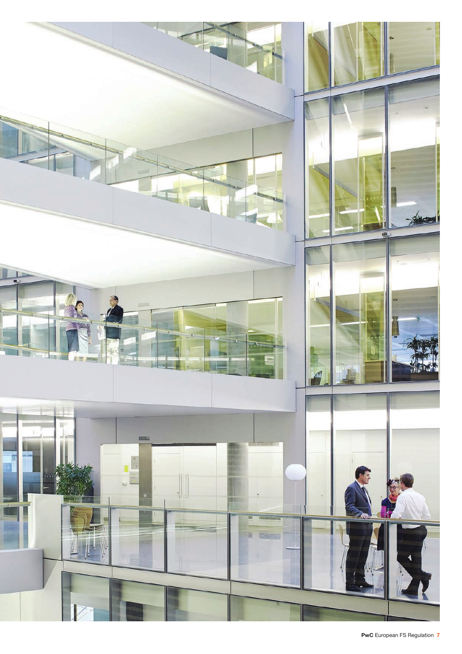